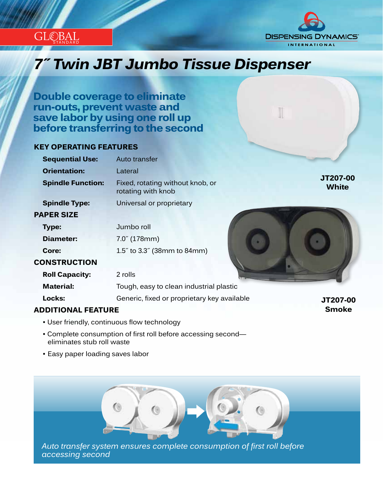



# *Innovation...Design...Solutions 7˝ Twin JBT Jumbo Tissue Dispenser*

**Double coverage to eliminate run-outs, prevent waste and save labor by using one roll up before transferring to the second**

#### **KEY OPERATING FEATURES**

| <b>Sequential Use:</b>   | Auto transfer                                          |                          |
|--------------------------|--------------------------------------------------------|--------------------------|
| <b>Orientation:</b>      | Lateral                                                |                          |
| <b>Spindle Function:</b> | Fixed, rotating without knob, or<br>rotating with knob | JT207-00<br><b>White</b> |
| <b>Spindle Type:</b>     | Universal or proprietary                               |                          |
| <b>PAPER SIZE</b>        |                                                        |                          |
| Type:                    | Jumbo roll                                             |                          |
| <b>Diameter:</b>         | $7.0^{7}$ (178mm)                                      |                          |
| Core:                    | 1.5" to 3.3" (38mm to 84mm)                            |                          |
| <b>CONSTRUCTION</b>      |                                                        |                          |
| <b>Roll Capacity:</b>    | 2 rolls                                                |                          |
| <b>Material:</b>         | Tough, easy to clean industrial plastic                |                          |
| Locks:                   | Generic, fixed or proprietary key available            | JT207-00                 |
|                          |                                                        |                          |

## **ADDITIONAL FEATURE**

**Smoke**

- User friendly, continuous flow technology
- Complete consumption of first roll before accessing second eliminates stub roll waste
- Easy paper loading saves labor



*Auto transfer system ensures complete consumption of first roll before accessing second*